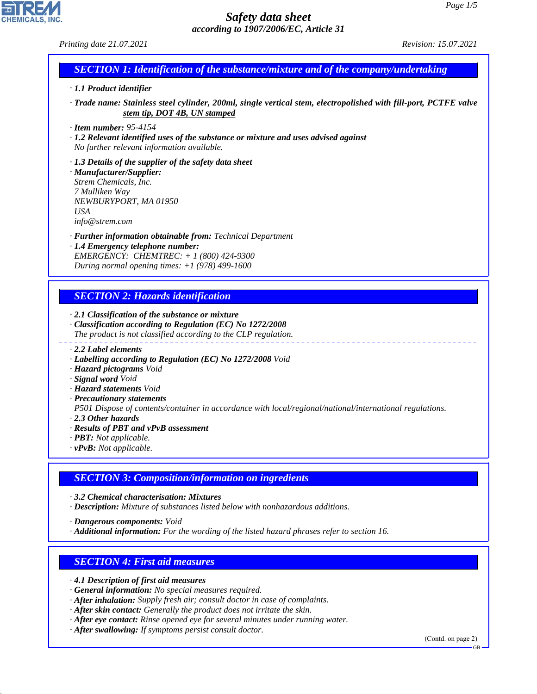*Printing date 21.07.2021 Revision: 15.07.2021*

# *SECTION 1: Identification of the substance/mixture and of the company/undertaking*

#### *· 1.1 Product identifier*

*· Trade name: Stainless steel cylinder, 200ml, single vertical stem, electropolished with fill-port, PCTFE valve stem tip, DOT 4B, UN stamped*

*· Item number: 95-4154*

*· 1.2 Relevant identified uses of the substance or mixture and uses advised against No further relevant information available.*

*· 1.3 Details of the supplier of the safety data sheet · Manufacturer/Supplier: Strem Chemicals, Inc. 7 Mulliken Way NEWBURYPORT, MA 01950 USA*

*info@strem.com*

*· Further information obtainable from: Technical Department · 1.4 Emergency telephone number:*

*EMERGENCY: CHEMTREC: + 1 (800) 424-9300 During normal opening times: +1 (978) 499-1600*

# *SECTION 2: Hazards identification*

*· 2.1 Classification of the substance or mixture*

- *· Classification according to Regulation (EC) No 1272/2008 The product is not classified according to the CLP regulation.*
- *· 2.2 Label elements*
- *· Labelling according to Regulation (EC) No 1272/2008 Void*
- *· Hazard pictograms Void*
- *· Signal word Void*
- *· Hazard statements Void*
- *· Precautionary statements*

*P501 Dispose of contents/container in accordance with local/regional/national/international regulations.*

*· 2.3 Other hazards*

44.1.1

- *· Results of PBT and vPvB assessment*
- *· PBT: Not applicable.*
- *· vPvB: Not applicable.*

# *SECTION 3: Composition/information on ingredients*

*· 3.2 Chemical characterisation: Mixtures*

*· Description: Mixture of substances listed below with nonhazardous additions.*

*· Dangerous components: Void*

*· Additional information: For the wording of the listed hazard phrases refer to section 16.*

# *SECTION 4: First aid measures*

*· 4.1 Description of first aid measures*

- *· General information: No special measures required.*
- *· After inhalation: Supply fresh air; consult doctor in case of complaints.*
- *· After skin contact: Generally the product does not irritate the skin.*
- *· After eye contact: Rinse opened eye for several minutes under running water.*

*· After swallowing: If symptoms persist consult doctor.*

(Contd. on page 2)

GB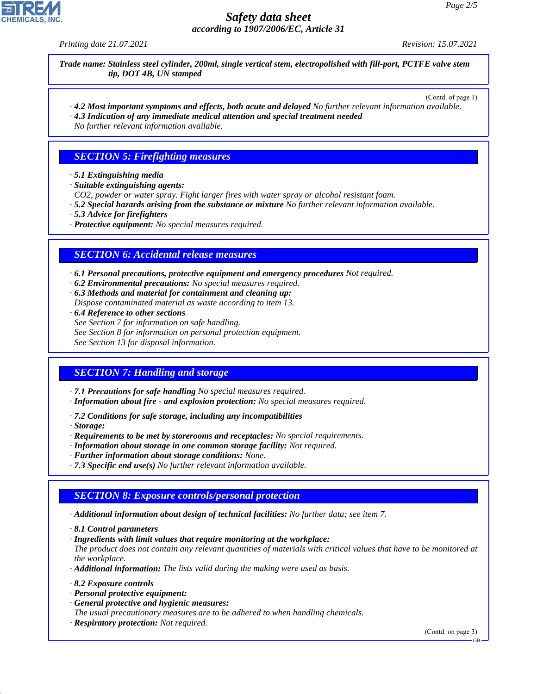*Printing date 21.07.2021 Revision: 15.07.2021*

*Trade name: Stainless steel cylinder, 200ml, single vertical stem, electropolished with fill-port, PCTFE valve stem tip, DOT 4B, UN stamped*

(Contd. of page 1)

*· 4.2 Most important symptoms and effects, both acute and delayed No further relevant information available. · 4.3 Indication of any immediate medical attention and special treatment needed*

*No further relevant information available.*

## *SECTION 5: Firefighting measures*

- *· 5.1 Extinguishing media*
- *· Suitable extinguishing agents:*
- *CO2, powder or water spray. Fight larger fires with water spray or alcohol resistant foam.*
- *· 5.2 Special hazards arising from the substance or mixture No further relevant information available.*
- *· 5.3 Advice for firefighters*
- *· Protective equipment: No special measures required.*

### *SECTION 6: Accidental release measures*

*· 6.1 Personal precautions, protective equipment and emergency procedures Not required.*

- *· 6.2 Environmental precautions: No special measures required.*
- *· 6.3 Methods and material for containment and cleaning up: Dispose contaminated material as waste according to item 13.*
- *· 6.4 Reference to other sections*
- *See Section 7 for information on safe handling.*
- *See Section 8 for information on personal protection equipment.*

*See Section 13 for disposal information.*

# *SECTION 7: Handling and storage*

- *· 7.1 Precautions for safe handling No special measures required.*
- *· Information about fire and explosion protection: No special measures required.*
- *· 7.2 Conditions for safe storage, including any incompatibilities*
- *· Storage:*
- *· Requirements to be met by storerooms and receptacles: No special requirements.*
- *· Information about storage in one common storage facility: Not required.*
- *· Further information about storage conditions: None.*
- *· 7.3 Specific end use(s) No further relevant information available.*

### *SECTION 8: Exposure controls/personal protection*

- *· Additional information about design of technical facilities: No further data; see item 7.*
- *· 8.1 Control parameters*
- *· Ingredients with limit values that require monitoring at the workplace:*

*The product does not contain any relevant quantities of materials with critical values that have to be monitored at the workplace.*

- *· Additional information: The lists valid during the making were used as basis.*
- *· 8.2 Exposure controls*

44.1.1

- *· Personal protective equipment:*
- *· General protective and hygienic measures:*

*The usual precautionary measures are to be adhered to when handling chemicals.*

*· Respiratory protection: Not required.*

(Contd. on page 3)

GB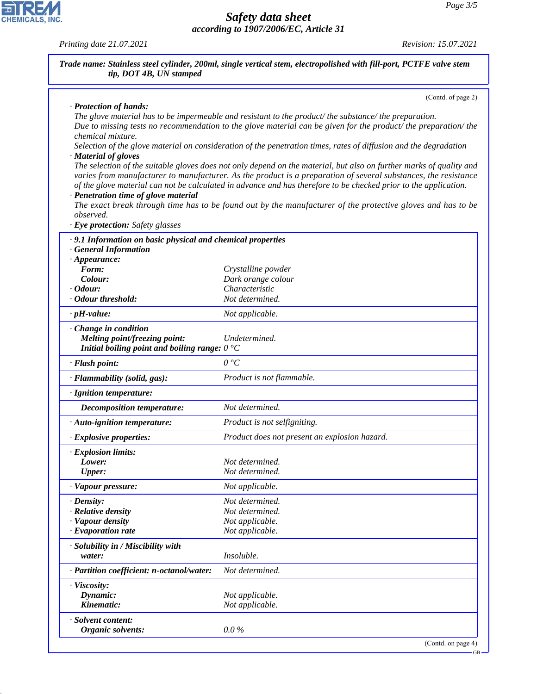*Printing date 21.07.2021 Revision: 15.07.2021*

| · Protection of hands:                                                                                          | (Contd. of page 2)                                                                                                                                                                                                                                                                                                                                         |
|-----------------------------------------------------------------------------------------------------------------|------------------------------------------------------------------------------------------------------------------------------------------------------------------------------------------------------------------------------------------------------------------------------------------------------------------------------------------------------------|
|                                                                                                                 | The glove material has to be impermeable and resistant to the product/the substance/the preparation.<br>Due to missing tests no recommendation to the glove material can be given for the product/the preparation/the                                                                                                                                      |
| chemical mixture.<br>· Material of gloves                                                                       | Selection of the glove material on consideration of the penetration times, rates of diffusion and the degradation                                                                                                                                                                                                                                          |
| · Penetration time of glove material                                                                            | The selection of the suitable gloves does not only depend on the material, but also on further marks of quality and<br>varies from manufacturer to manufacturer. As the product is a preparation of several substances, the resistance<br>of the glove material can not be calculated in advance and has therefore to be checked prior to the application. |
| observed.<br>· Eye protection: Safety glasses                                                                   | The exact break through time has to be found out by the manufacturer of the protective gloves and has to be                                                                                                                                                                                                                                                |
| .9.1 Information on basic physical and chemical properties                                                      |                                                                                                                                                                                                                                                                                                                                                            |
| <b>General Information</b>                                                                                      |                                                                                                                                                                                                                                                                                                                                                            |
| $\cdot$ Appearance:                                                                                             |                                                                                                                                                                                                                                                                                                                                                            |
| Form:                                                                                                           | Crystalline powder                                                                                                                                                                                                                                                                                                                                         |
| Colour:                                                                                                         | Dark orange colour                                                                                                                                                                                                                                                                                                                                         |
| $\cdot$ Odour:                                                                                                  | Characteristic                                                                                                                                                                                                                                                                                                                                             |
| · Odour threshold:                                                                                              | Not determined.                                                                                                                                                                                                                                                                                                                                            |
| $\cdot$ pH-value:                                                                                               | Not applicable.                                                                                                                                                                                                                                                                                                                                            |
| · Change in condition<br>Melting point/freezing point:<br>Initial boiling point and boiling range: $0^{\circ}C$ | Undetermined.                                                                                                                                                                                                                                                                                                                                              |
| · Flash point:                                                                                                  | 0 °C                                                                                                                                                                                                                                                                                                                                                       |
| · Flammability (solid, gas):                                                                                    | Product is not flammable.                                                                                                                                                                                                                                                                                                                                  |
| · Ignition temperature:                                                                                         |                                                                                                                                                                                                                                                                                                                                                            |
| Decomposition temperature:                                                                                      | Not determined.                                                                                                                                                                                                                                                                                                                                            |
| · Auto-ignition temperature:                                                                                    | Product is not selfigniting.                                                                                                                                                                                                                                                                                                                               |
| $\cdot$ Explosive properties:                                                                                   | Product does not present an explosion hazard.                                                                                                                                                                                                                                                                                                              |
| <b>Explosion limits:</b>                                                                                        |                                                                                                                                                                                                                                                                                                                                                            |
| Lower:                                                                                                          | Not determined.                                                                                                                                                                                                                                                                                                                                            |
| <b>Upper:</b>                                                                                                   | Not determined.                                                                                                                                                                                                                                                                                                                                            |
| · Vapour pressure:                                                                                              | Not applicable.                                                                                                                                                                                                                                                                                                                                            |
| $\cdot$ Density:                                                                                                | Not determined.                                                                                                                                                                                                                                                                                                                                            |
| · Relative density                                                                                              | Not determined.                                                                                                                                                                                                                                                                                                                                            |
| · Vapour density                                                                                                | Not applicable.                                                                                                                                                                                                                                                                                                                                            |
| $\cdot$ Evaporation rate                                                                                        | Not applicable.                                                                                                                                                                                                                                                                                                                                            |
| · Solubility in / Miscibility with                                                                              |                                                                                                                                                                                                                                                                                                                                                            |
| water:                                                                                                          | Insoluble.                                                                                                                                                                                                                                                                                                                                                 |
| · Partition coefficient: n-octanol/water:                                                                       | Not determined.                                                                                                                                                                                                                                                                                                                                            |
| · Viscosity:                                                                                                    |                                                                                                                                                                                                                                                                                                                                                            |
| Dynamic:                                                                                                        | Not applicable.                                                                                                                                                                                                                                                                                                                                            |
| Kinematic:                                                                                                      | Not applicable.                                                                                                                                                                                                                                                                                                                                            |
| · Solvent content:                                                                                              |                                                                                                                                                                                                                                                                                                                                                            |
| Organic solvents:                                                                                               | $0.0\%$                                                                                                                                                                                                                                                                                                                                                    |



Г

44.1.1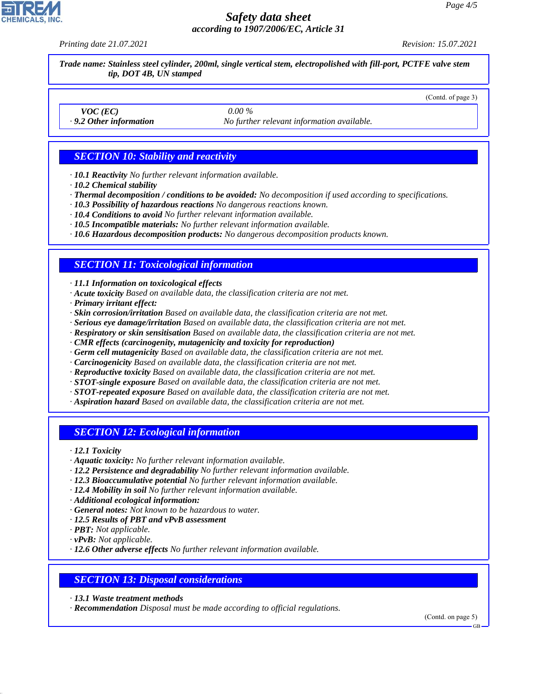*Printing date 21.07.2021 Revision: 15.07.2021*

(Contd. of page 3)

*Trade name: Stainless steel cylinder, 200ml, single vertical stem, electropolished with fill-port, PCTFE valve stem tip, DOT 4B, UN stamped*

*VOC (EC) 0.00 %*

*· 9.2 Other information No further relevant information available.*

### *SECTION 10: Stability and reactivity*

- *· 10.1 Reactivity No further relevant information available.*
- *· 10.2 Chemical stability*
- *· Thermal decomposition / conditions to be avoided: No decomposition if used according to specifications.*
- *· 10.3 Possibility of hazardous reactions No dangerous reactions known.*
- *· 10.4 Conditions to avoid No further relevant information available.*
- *· 10.5 Incompatible materials: No further relevant information available.*
- *· 10.6 Hazardous decomposition products: No dangerous decomposition products known.*

#### *SECTION 11: Toxicological information*

*· 11.1 Information on toxicological effects*

- *· Acute toxicity Based on available data, the classification criteria are not met.*
- *· Primary irritant effect:*
- *· Skin corrosion/irritation Based on available data, the classification criteria are not met.*
- *· Serious eye damage/irritation Based on available data, the classification criteria are not met.*
- *· Respiratory or skin sensitisation Based on available data, the classification criteria are not met.*
- *· CMR effects (carcinogenity, mutagenicity and toxicity for reproduction)*
- *· Germ cell mutagenicity Based on available data, the classification criteria are not met.*
- *· Carcinogenicity Based on available data, the classification criteria are not met.*
- *· Reproductive toxicity Based on available data, the classification criteria are not met.*
- *· STOT-single exposure Based on available data, the classification criteria are not met.*
- *· STOT-repeated exposure Based on available data, the classification criteria are not met.*
- *· Aspiration hazard Based on available data, the classification criteria are not met.*

### *SECTION 12: Ecological information*

*· 12.1 Toxicity*

- *· Aquatic toxicity: No further relevant information available.*
- *· 12.2 Persistence and degradability No further relevant information available.*
- *· 12.3 Bioaccumulative potential No further relevant information available.*
- *· 12.4 Mobility in soil No further relevant information available.*
- *· Additional ecological information:*
- *· General notes: Not known to be hazardous to water.*
- *· 12.5 Results of PBT and vPvB assessment*
- *· PBT: Not applicable.*

44.1.1

- *· vPvB: Not applicable.*
- *· 12.6 Other adverse effects No further relevant information available.*

#### *SECTION 13: Disposal considerations*

- *· 13.1 Waste treatment methods*
- *· Recommendation Disposal must be made according to official regulations.*

(Contd. on page 5)



GB